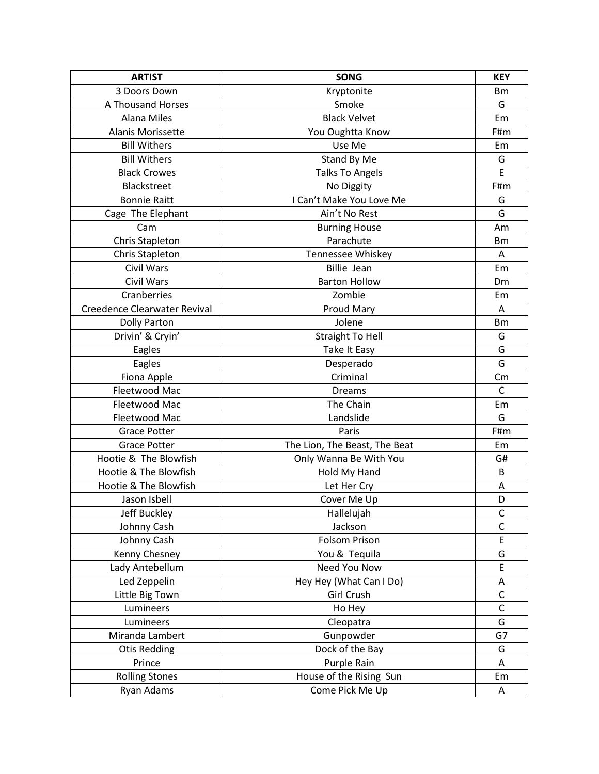| <b>ARTIST</b>                       | <b>SONG</b>                   | <b>KEY</b>   |
|-------------------------------------|-------------------------------|--------------|
| 3 Doors Down                        | Kryptonite                    | <b>Bm</b>    |
| A Thousand Horses                   | Smoke                         | G            |
| <b>Alana Miles</b>                  | <b>Black Velvet</b>           | Em           |
| Alanis Morissette                   | You Oughtta Know              | F#m          |
| <b>Bill Withers</b>                 | Use Me                        | Em           |
| <b>Bill Withers</b>                 | Stand By Me                   | G            |
| <b>Black Crowes</b>                 | <b>Talks To Angels</b>        | E            |
| Blackstreet                         | No Diggity                    | F#m          |
| <b>Bonnie Raitt</b>                 | I Can't Make You Love Me      | G            |
| Cage The Elephant                   | Ain't No Rest                 | G            |
| Cam                                 | <b>Burning House</b>          | Am           |
| Chris Stapleton                     | Parachute                     | Bm           |
| Chris Stapleton                     | Tennessee Whiskey             | Α            |
| <b>Civil Wars</b>                   | <b>Billie Jean</b>            | Em           |
| Civil Wars                          | <b>Barton Hollow</b>          | Dm           |
| Cranberries                         | Zombie                        | Em           |
| <b>Creedence Clearwater Revival</b> | Proud Mary                    | Α            |
| <b>Dolly Parton</b>                 | Jolene                        | <b>Bm</b>    |
| Drivin' & Cryin'                    | <b>Straight To Hell</b>       | G            |
| Eagles                              | Take It Easy                  | G            |
| Eagles                              | Desperado                     | G            |
| Fiona Apple                         | Criminal                      | Cm           |
| Fleetwood Mac                       | <b>Dreams</b>                 | $\mathsf{C}$ |
| Fleetwood Mac                       | The Chain                     | Em           |
| Fleetwood Mac                       | Landslide                     | G            |
| <b>Grace Potter</b>                 | Paris                         | F#m          |
| <b>Grace Potter</b>                 | The Lion, The Beast, The Beat | Em           |
| Hootie & The Blowfish               | Only Wanna Be With You        | G#           |
| Hootie & The Blowfish               | Hold My Hand                  | B            |
| Hootie & The Blowfish               | Let Her Cry                   | Α            |
| Jason Isbell                        | Cover Me Up                   | D            |
| Jeff Buckley                        | Hallelujah                    | C            |
| Johnny Cash                         | Jackson                       | $\mathsf{C}$ |
| Johnny Cash                         | <b>Folsom Prison</b>          | $\mathsf E$  |
| Kenny Chesney                       | You & Tequila                 | G            |
| Lady Antebellum                     | Need You Now                  | E            |
| Led Zeppelin                        | Hey Hey (What Can I Do)       | Α            |
| Little Big Town                     | <b>Girl Crush</b>             | $\mathsf C$  |
| Lumineers                           | Ho Hey                        | $\mathsf{C}$ |
| Lumineers                           | Cleopatra                     | G            |
| Miranda Lambert                     | Gunpowder                     | G7           |
| <b>Otis Redding</b>                 | Dock of the Bay               | G            |
| Prince                              | Purple Rain                   | Α            |
| <b>Rolling Stones</b>               | House of the Rising Sun       | Em           |
| Ryan Adams                          | Come Pick Me Up               | Α            |